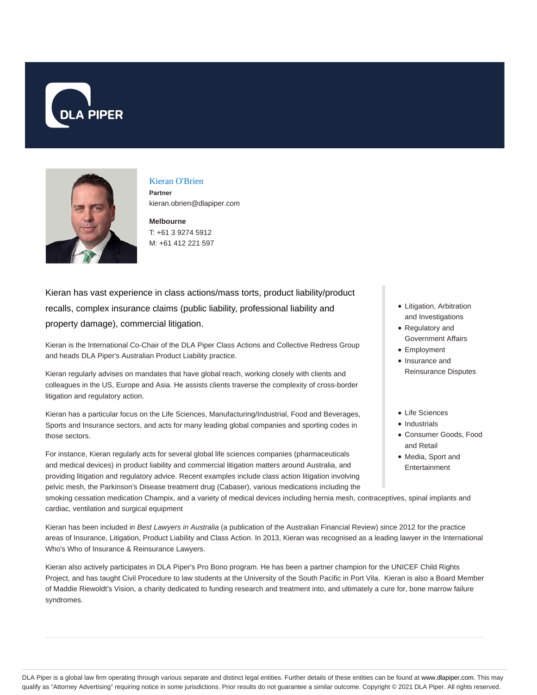



### Kieran O'Brien **Partner**

kieran.obrien@dlapiper.com

**Melbourne** T: +61 3 9274 5912 M: +61 412 221 597

Kieran has vast experience in class actions/mass torts, product liability/product recalls, complex insurance claims (public liability, professional liability and property damage), commercial litigation.

Kieran is the International Co-Chair of the DLA Piper Class Actions and Collective Redress Group and heads DLA Piper's Australian Product Liability practice.

Kieran regularly advises on mandates that have global reach, working closely with clients and colleagues in the US, Europe and Asia. He assists clients traverse the complexity of cross-border litigation and regulatory action.

Kieran has a particular focus on the Life Sciences, Manufacturing/Industrial, Food and Beverages, Sports and Insurance sectors, and acts for many leading global companies and sporting codes in those sectors.

For instance, Kieran regularly acts for several global life sciences companies (pharmaceuticals and medical devices) in product liability and commercial litigation matters around Australia, and providing litigation and regulatory advice. Recent examples include class action litigation involving pelvic mesh, the Parkinson's Disease treatment drug (Cabaser), various medications including the

smoking cessation medication Champix, and a variety of medical devices including hernia mesh, contraceptives, spinal implants and cardiac, ventilation and surgical equipment

Kieran has been included in Best Lawyers in Australia (a publication of the Australian Financial Review) since 2012 for the practice areas of Insurance, Litigation, Product Liability and Class Action. In 2013, Kieran was recognised as a leading lawyer in the International Who's Who of Insurance & Reinsurance Lawyers.

Kieran also actively participates in DLA Piper's Pro Bono program. He has been a partner champion for the UNICEF Child Rights Project, and has taught Civil Procedure to law students at the University of the South Pacific in Port Vila. Kieran is also a Board Member of Maddie Riewoldt's Vision, a charity dedicated to funding research and treatment into, and ultimately a cure for, bone marrow failure syndromes.

- Litigation, Arbitration and Investigations
- Regulatory and Government Affairs
- Employment
- Insurance and Reinsurance Disputes
- Life Sciences
- Industrials
- Consumer Goods, Food and Retail
- Media, Sport and Entertainment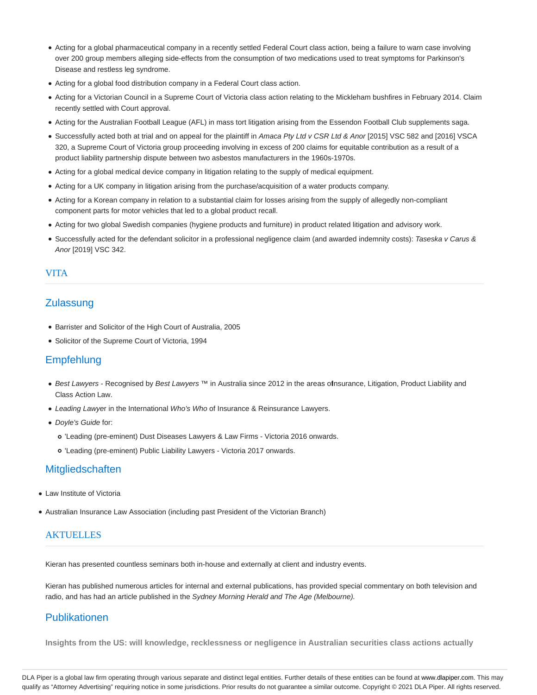- Acting for a global pharmaceutical company in a recently settled Federal Court class action, being a failure to warn case involving over 200 group members alleging side-effects from the consumption of two medications used to treat symptoms for Parkinson's Disease and restless leg syndrome.
- Acting for a global food distribution company in a Federal Court class action.
- Acting for a Victorian Council in a Supreme Court of Victoria class action relating to the Mickleham bushfires in February 2014. Claim recently settled with Court approval.
- Acting for the Australian Football League (AFL) in mass tort litigation arising from the Essendon Football Club supplements saga.
- Successfully acted both at trial and on appeal for the plaintiff in Amaca Pty Ltd v CSR Ltd & Anor [2015] VSC 582 and [2016] VSCA 320, a Supreme Court of Victoria group proceeding involving in excess of 200 claims for equitable contribution as a result of a product liability partnership dispute between two asbestos manufacturers in the 1960s-1970s.
- Acting for a global medical device company in litigation relating to the supply of medical equipment.
- Acting for a UK company in litigation arising from the purchase/acquisition of a water products company.
- Acting for a Korean company in relation to a substantial claim for losses arising from the supply of allegedly non-compliant component parts for motor vehicles that led to a global product recall.
- Acting for two global Swedish companies (hygiene products and furniture) in product related litigation and advisory work.
- Successfully acted for the defendant solicitor in a professional negligence claim (and awarded indemnity costs): Taseska v Carus & Anor [2019] VSC 342.

### VITA

## **Zulassung**

- Barrister and Solicitor of the High Court of Australia, 2005
- Solicitor of the Supreme Court of Victoria, 1994

## Empfehlung

- Best Lawyers Recognised by Best Lawyers ™ in Australia since 2012 in the areas of nsurance, Litigation, Product Liability and Class Action Law.
- Leading Lawyer in the International Who's Who of Insurance & Reinsurance Lawyers.
- Doyle's Guide for:
	- 'Leading (pre-eminent) Dust Diseases Lawyers & Law Firms Victoria 2016 onwards.
	- 'Leading (pre-eminent) Public Liability Lawyers Victoria 2017 onwards.

## **Mitgliedschaften**

- Law Institute of Victoria
- Australian Insurance Law Association (including past President of the Victorian Branch)

### **AKTUELLES**

Kieran has presented countless seminars both in-house and externally at client and industry events.

Kieran has published numerous articles for internal and external publications, has provided special commentary on both television and radio, and has had an article published in the Sydney Morning Herald and The Age (Melbourne).

# Publikationen

**Insights from the US: will knowledge, recklessness or negligence in Australian securities class actions actually**

DLA Piper is a global law firm operating through various separate and distinct legal entities. Further details of these entities can be found at www.dlapiper.com. This may qualify as "Attorney Advertising" requiring notice in some jurisdictions. Prior results do not guarantee a similar outcome. Copyright © 2021 DLA Piper. All rights reserved.